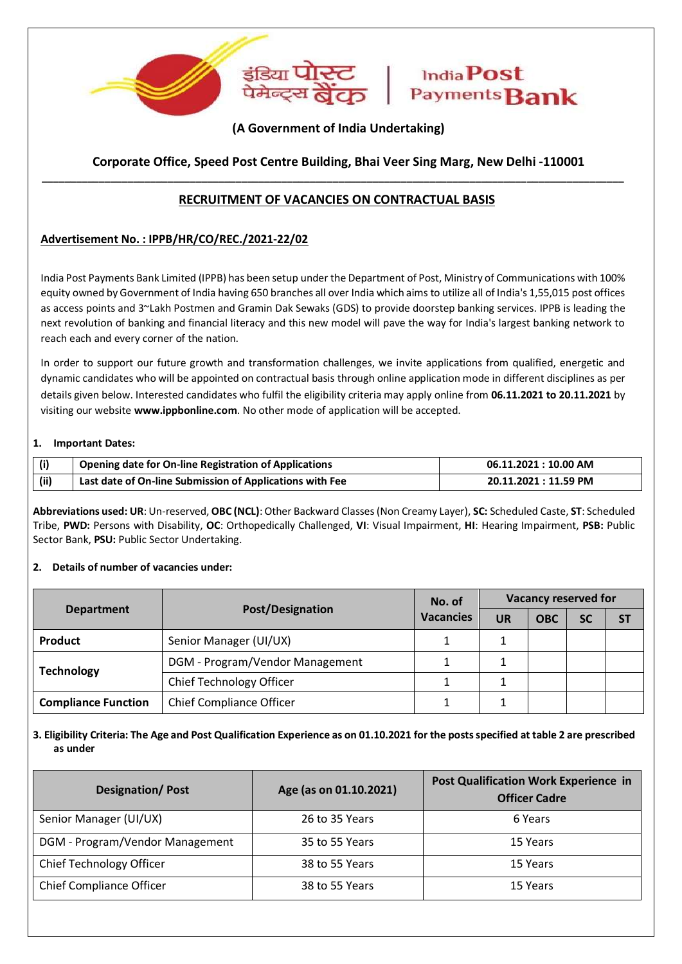

# **(A Government of India Undertaking)**

# **\_\_\_\_\_\_\_\_\_\_\_\_\_\_\_\_\_\_\_\_\_\_\_\_\_\_\_\_\_\_\_\_\_\_\_\_\_\_\_\_\_\_\_\_\_\_\_\_\_\_\_\_\_\_\_\_\_\_\_\_\_\_\_\_\_\_\_\_\_\_\_\_\_\_\_\_\_\_\_\_\_\_\_\_\_\_\_\_\_\_\_\_\_\_\_\_\_\_\_\_\_\_ Corporate Office, Speed Post Centre Building, Bhai Veer Sing Marg, New Delhi -110001**

# **RECRUITMENT OF VACANCIES ON CONTRACTUAL BASIS**

## **Advertisement No. : IPPB/HR/CO/REC./2021-22/02**

India Post Payments Bank Limited (IPPB) has been setup under the Department of Post, Ministry of Communications with 100% equity owned by Government of India having 650 branches all over India which aims to utilize all of India's 1,55,015 post offices as access points and 3~Lakh Postmen and Gramin Dak Sewaks (GDS) to provide doorstep banking services. IPPB is leading the next revolution of banking and financial literacy and this new model will pave the way for India's largest banking network to reach each and every corner of the nation.

In order to support our future growth and transformation challenges, we invite applications from qualified, energetic and dynamic candidates who will be appointed on contractual basis through online application mode in different disciplines as per details given below. Interested candidates who fulfil the eligibility criteria may apply online from **06.11.2021 to 20.11.2021** by visiting our website **www.ippbonline.com**. No other mode of application will be accepted.

#### **1. Important Dates:**

| (i)   | <b>Opening date for On-line Registration of Applications</b> | 06.11.2021 : 10.00 AM |
|-------|--------------------------------------------------------------|-----------------------|
| (iii) | Last date of On-line Submission of Applications with Fee     | 20.11.2021 : 11.59 PM |

**3. Abbreviations used: UR**: Un-reserved, **OBC (NCL)**: Other Backward Classes (Non Creamy Layer), **SC:** Scheduled Caste, **ST**: Scheduled Tribe, **PWD:** Persons with Disability, **OC**: Orthopedically Challenged, **VI**: Visual Impairment, **HI**: Hearing Impairment, **PSB:** Public Sector Bank, **PSU:** Public Sector Undertaking.

#### **4. 2. Details of number of vacancies under:**

|                            | No. of                          |                  | <b>Vacancy reserved for</b> |            |           |           |
|----------------------------|---------------------------------|------------------|-----------------------------|------------|-----------|-----------|
| <b>Department</b>          | <b>Post/Designation</b>         | <b>Vacancies</b> | <b>UR</b>                   | <b>OBC</b> | <b>SC</b> | <b>ST</b> |
| Product                    | Senior Manager (UI/UX)          |                  |                             |            |           |           |
| <b>Technology</b>          | DGM - Program/Vendor Management |                  |                             |            |           |           |
|                            | Chief Technology Officer        |                  |                             |            |           |           |
| <b>Compliance Function</b> | <b>Chief Compliance Officer</b> |                  |                             |            |           |           |

## 3. Eligibility Criteria: The Age and Post Qualification Experience as on 01.10.2021 for the posts specified at table 2 are prescribed **as under**

| <b>Designation/Post</b>         | Age (as on 01.10.2021) | <b>Post Qualification Work Experience in</b><br><b>Officer Cadre</b> |
|---------------------------------|------------------------|----------------------------------------------------------------------|
| Senior Manager (UI/UX)          | 26 to 35 Years         | 6 Years                                                              |
| DGM - Program/Vendor Management | 35 to 55 Years         | 15 Years                                                             |
| Chief Technology Officer        | 38 to 55 Years         | 15 Years                                                             |
| <b>Chief Compliance Officer</b> | 38 to 55 Years         | 15 Years                                                             |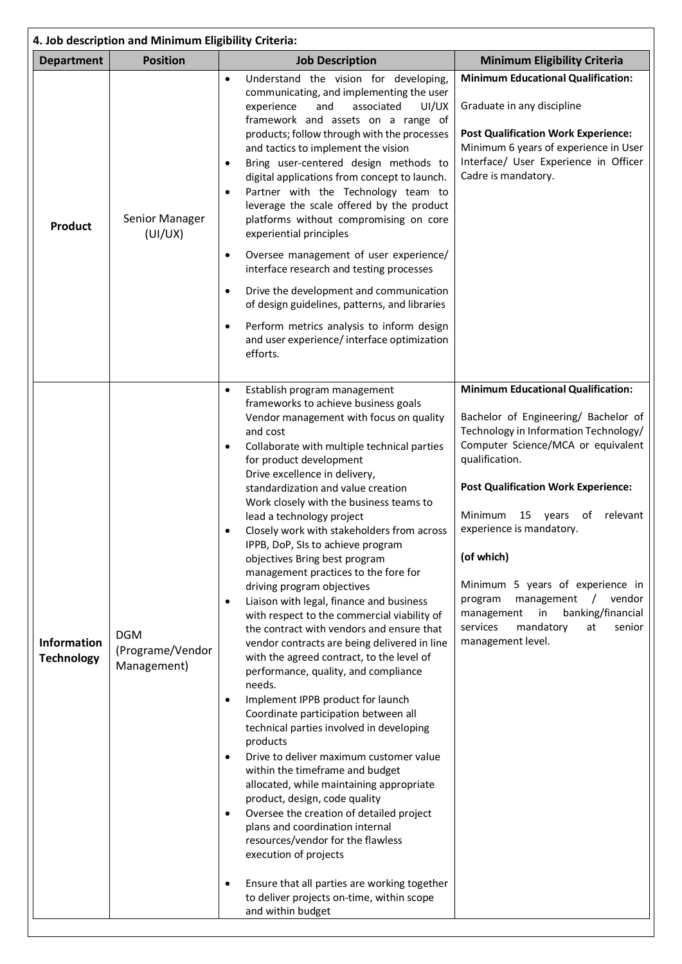| 4. Job description and Minimum Eligibility Criteria: |                                               |                                                                                                                                                                                                                                                                                                                                                                                                                                                                                                                                                                                                                                                                                                                                                                                                                                                                                                                                                                                                                                                                                                                                                                                                                                                                                                                                                                                                                                                                            |                                                                                                                                                                                                                                                                                                                                                                                                                                                                                                               |  |  |
|------------------------------------------------------|-----------------------------------------------|----------------------------------------------------------------------------------------------------------------------------------------------------------------------------------------------------------------------------------------------------------------------------------------------------------------------------------------------------------------------------------------------------------------------------------------------------------------------------------------------------------------------------------------------------------------------------------------------------------------------------------------------------------------------------------------------------------------------------------------------------------------------------------------------------------------------------------------------------------------------------------------------------------------------------------------------------------------------------------------------------------------------------------------------------------------------------------------------------------------------------------------------------------------------------------------------------------------------------------------------------------------------------------------------------------------------------------------------------------------------------------------------------------------------------------------------------------------------------|---------------------------------------------------------------------------------------------------------------------------------------------------------------------------------------------------------------------------------------------------------------------------------------------------------------------------------------------------------------------------------------------------------------------------------------------------------------------------------------------------------------|--|--|
| <b>Department</b>                                    | <b>Position</b>                               | <b>Job Description</b>                                                                                                                                                                                                                                                                                                                                                                                                                                                                                                                                                                                                                                                                                                                                                                                                                                                                                                                                                                                                                                                                                                                                                                                                                                                                                                                                                                                                                                                     | <b>Minimum Eligibility Criteria</b>                                                                                                                                                                                                                                                                                                                                                                                                                                                                           |  |  |
| <b>Product</b>                                       | Senior Manager<br>(UI/UX)                     | Understand the vision for developing,<br>$\bullet$<br>communicating, and implementing the user<br>and<br>associated<br>UI/UX<br>experience<br>framework and assets on a range of<br>products; follow through with the processes<br>and tactics to implement the vision<br>Bring user-centered design methods to<br>$\bullet$<br>digital applications from concept to launch.<br>Partner with the Technology team to<br>$\bullet$<br>leverage the scale offered by the product<br>platforms without compromising on core<br>experiential principles<br>Oversee management of user experience/<br>$\bullet$                                                                                                                                                                                                                                                                                                                                                                                                                                                                                                                                                                                                                                                                                                                                                                                                                                                                  | <b>Minimum Educational Qualification:</b><br>Graduate in any discipline<br><b>Post Qualification Work Experience:</b><br>Minimum 6 years of experience in User<br>Interface/ User Experience in Officer<br>Cadre is mandatory.                                                                                                                                                                                                                                                                                |  |  |
|                                                      |                                               | interface research and testing processes<br>Drive the development and communication<br>$\bullet$<br>of design guidelines, patterns, and libraries<br>Perform metrics analysis to inform design<br>$\bullet$<br>and user experience/ interface optimization<br>efforts.                                                                                                                                                                                                                                                                                                                                                                                                                                                                                                                                                                                                                                                                                                                                                                                                                                                                                                                                                                                                                                                                                                                                                                                                     |                                                                                                                                                                                                                                                                                                                                                                                                                                                                                                               |  |  |
|                                                      |                                               |                                                                                                                                                                                                                                                                                                                                                                                                                                                                                                                                                                                                                                                                                                                                                                                                                                                                                                                                                                                                                                                                                                                                                                                                                                                                                                                                                                                                                                                                            |                                                                                                                                                                                                                                                                                                                                                                                                                                                                                                               |  |  |
| <b>Information</b><br><b>Technology</b>              | <b>DGM</b><br>(Programe/Vendor<br>Management) | Establish program management<br>$\bullet$<br>frameworks to achieve business goals<br>Vendor management with focus on quality<br>and cost<br>Collaborate with multiple technical parties<br>$\bullet$<br>for product development<br>Drive excellence in delivery,<br>standardization and value creation<br>Work closely with the business teams to<br>lead a technology project<br>Closely work with stakeholders from across<br>IPPB, DoP, SIs to achieve program<br>objectives Bring best program<br>management practices to the fore for<br>driving program objectives<br>Liaison with legal, finance and business<br>$\bullet$<br>with respect to the commercial viability of<br>the contract with vendors and ensure that<br>vendor contracts are being delivered in line<br>with the agreed contract, to the level of<br>performance, quality, and compliance<br>needs.<br>Implement IPPB product for launch<br>$\bullet$<br>Coordinate participation between all<br>technical parties involved in developing<br>products<br>Drive to deliver maximum customer value<br>$\bullet$<br>within the timeframe and budget<br>allocated, while maintaining appropriate<br>product, design, code quality<br>Oversee the creation of detailed project<br>$\bullet$<br>plans and coordination internal<br>resources/vendor for the flawless<br>execution of projects<br>Ensure that all parties are working together<br>$\bullet$<br>to deliver projects on-time, within scope | <b>Minimum Educational Qualification:</b><br>Bachelor of Engineering/ Bachelor of<br>Technology in Information Technology/<br>Computer Science/MCA or equivalent<br>qualification.<br><b>Post Qualification Work Experience:</b><br>Minimum<br>15 years<br>relevant<br>οf<br>experience is mandatory.<br>(of which)<br>Minimum 5 years of experience in<br>management<br>vendor<br>program<br>$\prime$<br>banking/financial<br>in<br>management<br>mandatory<br>services<br>at<br>senior<br>management level. |  |  |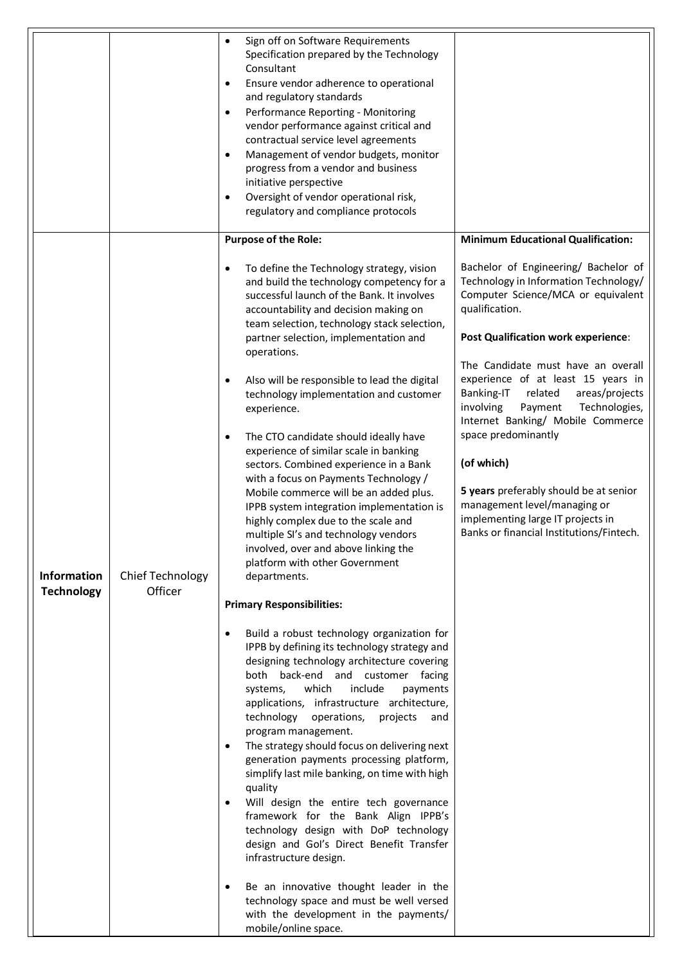|                                         |                                    | Sign off on Software Requirements<br>$\bullet$<br>Specification prepared by the Technology<br>Consultant<br>Ensure vendor adherence to operational<br>$\bullet$<br>and regulatory standards<br>Performance Reporting - Monitoring<br>$\bullet$<br>vendor performance against critical and<br>contractual service level agreements<br>Management of vendor budgets, monitor<br>$\bullet$<br>progress from a vendor and business<br>initiative perspective<br>Oversight of vendor operational risk,<br>$\bullet$<br>regulatory and compliance protocols                                                                                                                                                                                                                                                                                                                                                                                                                                                                                                                                                                                                                                                                                                                                                                                                                                            |                                                                                                                                                                                                                                                                                                                                                                                                                                                                                                                                                                                          |
|-----------------------------------------|------------------------------------|--------------------------------------------------------------------------------------------------------------------------------------------------------------------------------------------------------------------------------------------------------------------------------------------------------------------------------------------------------------------------------------------------------------------------------------------------------------------------------------------------------------------------------------------------------------------------------------------------------------------------------------------------------------------------------------------------------------------------------------------------------------------------------------------------------------------------------------------------------------------------------------------------------------------------------------------------------------------------------------------------------------------------------------------------------------------------------------------------------------------------------------------------------------------------------------------------------------------------------------------------------------------------------------------------------------------------------------------------------------------------------------------------|------------------------------------------------------------------------------------------------------------------------------------------------------------------------------------------------------------------------------------------------------------------------------------------------------------------------------------------------------------------------------------------------------------------------------------------------------------------------------------------------------------------------------------------------------------------------------------------|
|                                         |                                    | <b>Purpose of the Role:</b>                                                                                                                                                                                                                                                                                                                                                                                                                                                                                                                                                                                                                                                                                                                                                                                                                                                                                                                                                                                                                                                                                                                                                                                                                                                                                                                                                                      | <b>Minimum Educational Qualification:</b>                                                                                                                                                                                                                                                                                                                                                                                                                                                                                                                                                |
| <b>Information</b><br><b>Technology</b> | <b>Chief Technology</b><br>Officer | To define the Technology strategy, vision<br>and build the technology competency for a<br>successful launch of the Bank. It involves<br>accountability and decision making on<br>team selection, technology stack selection,<br>partner selection, implementation and<br>operations.<br>Also will be responsible to lead the digital<br>technology implementation and customer<br>experience.<br>The CTO candidate should ideally have<br>$\bullet$<br>experience of similar scale in banking<br>sectors. Combined experience in a Bank<br>with a focus on Payments Technology /<br>Mobile commerce will be an added plus.<br>IPPB system integration implementation is<br>highly complex due to the scale and<br>multiple SI's and technology vendors<br>involved, over and above linking the<br>platform with other Government<br>departments.<br><b>Primary Responsibilities:</b><br>Build a robust technology organization for<br>IPPB by defining its technology strategy and<br>designing technology architecture covering<br>both back-end and customer facing<br>which<br>include<br>systems,<br>payments<br>applications, infrastructure architecture,<br>technology<br>operations,<br>projects<br>and<br>program management.<br>The strategy should focus on delivering next<br>$\bullet$<br>generation payments processing platform,<br>simplify last mile banking, on time with high | Bachelor of Engineering/ Bachelor of<br>Technology in Information Technology/<br>Computer Science/MCA or equivalent<br>qualification.<br><b>Post Qualification work experience:</b><br>The Candidate must have an overall<br>experience of at least 15 years in<br>Banking-IT<br>related<br>areas/projects<br>involving<br>Payment<br>Technologies,<br>Internet Banking/ Mobile Commerce<br>space predominantly<br>(of which)<br>5 years preferably should be at senior<br>management level/managing or<br>implementing large IT projects in<br>Banks or financial Institutions/Fintech. |
|                                         |                                    | quality<br>Will design the entire tech governance<br>framework for the Bank Align IPPB's<br>technology design with DoP technology<br>design and Gol's Direct Benefit Transfer<br>infrastructure design.<br>Be an innovative thought leader in the<br>technology space and must be well versed<br>with the development in the payments/<br>mobile/online space.                                                                                                                                                                                                                                                                                                                                                                                                                                                                                                                                                                                                                                                                                                                                                                                                                                                                                                                                                                                                                                   |                                                                                                                                                                                                                                                                                                                                                                                                                                                                                                                                                                                          |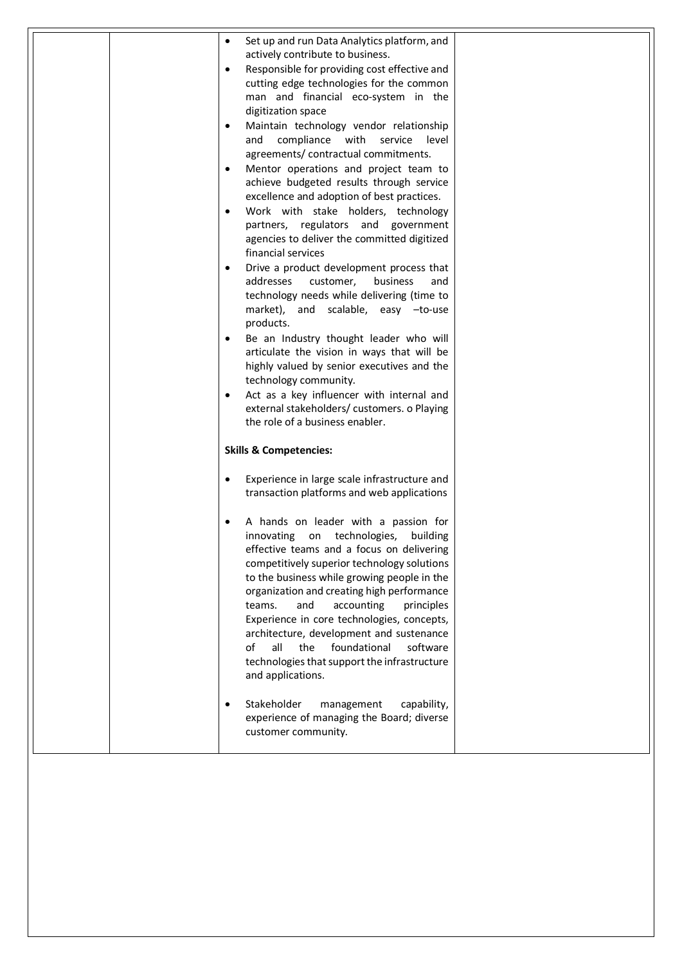| Set up and run Data Analytics platform, and             |  |
|---------------------------------------------------------|--|
| actively contribute to business.                        |  |
| Responsible for providing cost effective and            |  |
| cutting edge technologies for the common                |  |
| man and financial eco-system in the                     |  |
| digitization space                                      |  |
| Maintain technology vendor relationship                 |  |
| compliance<br>with<br>service<br>and<br>level           |  |
| agreements/ contractual commitments.                    |  |
|                                                         |  |
| Mentor operations and project team to                   |  |
| achieve budgeted results through service                |  |
| excellence and adoption of best practices.              |  |
| Work with stake holders, technology<br>$\bullet$        |  |
| partners, regulators and government                     |  |
| agencies to deliver the committed digitized             |  |
| financial services                                      |  |
| Drive a product development process that<br>$\bullet$   |  |
| addresses<br>customer,<br>business<br>and               |  |
| technology needs while delivering (time to              |  |
| market), and scalable, easy -to-use                     |  |
| products.                                               |  |
| Be an Industry thought leader who will                  |  |
| articulate the vision in ways that will be              |  |
| highly valued by senior executives and the              |  |
| technology community.                                   |  |
| Act as a key influencer with internal and               |  |
| external stakeholders/ customers. o Playing             |  |
| the role of a business enabler.                         |  |
|                                                         |  |
| <b>Skills &amp; Competencies:</b>                       |  |
| Experience in large scale infrastructure and            |  |
| transaction platforms and web applications              |  |
|                                                         |  |
| A hands on leader with a passion for                    |  |
| on technologies,<br>building<br>innovating              |  |
| effective teams and a focus on delivering               |  |
| competitively superior technology solutions             |  |
| to the business while growing people in the             |  |
| organization and creating high performance              |  |
| and<br>teams.<br>accounting<br>principles               |  |
| Experience in core technologies, concepts,              |  |
| architecture, development and sustenance                |  |
| of<br>all<br>foundational<br>the<br>software            |  |
| technologies that support the infrastructure            |  |
| and applications.                                       |  |
|                                                         |  |
| Stakeholder<br>capability,                              |  |
| management<br>experience of managing the Board; diverse |  |
| customer community.                                     |  |
|                                                         |  |
|                                                         |  |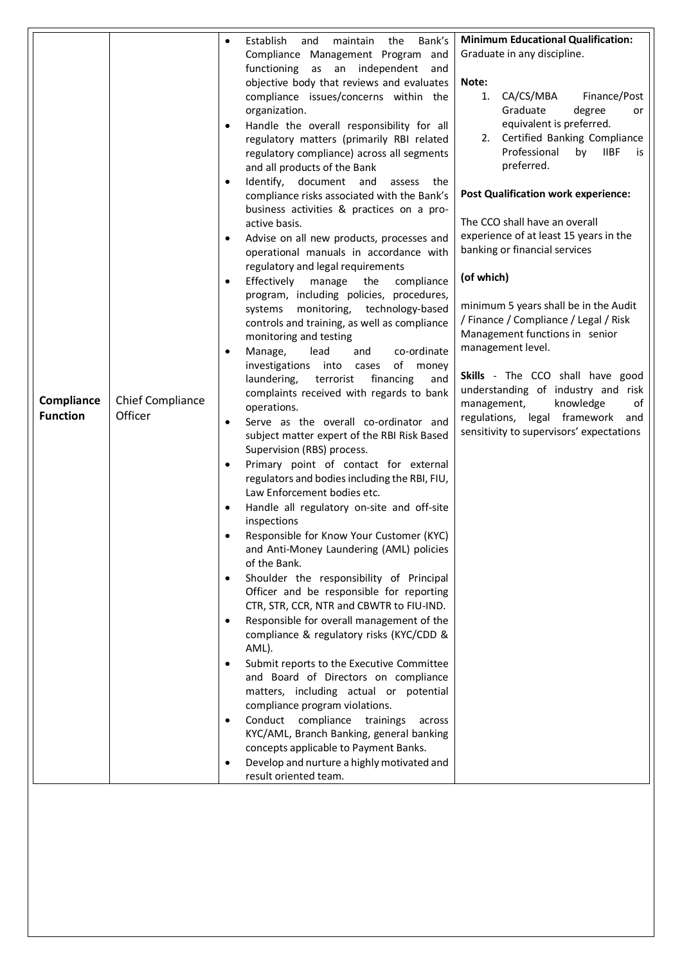|                 |                         | Bank's<br>Establish<br>maintain<br>the<br>and<br>$\bullet$                                   | <b>Minimum Educational Qualification:</b>                            |
|-----------------|-------------------------|----------------------------------------------------------------------------------------------|----------------------------------------------------------------------|
|                 |                         | Compliance Management Program and                                                            | Graduate in any discipline.                                          |
|                 |                         | functioning as an independent<br>and                                                         |                                                                      |
|                 |                         | objective body that reviews and evaluates                                                    | Note:                                                                |
|                 |                         | compliance issues/concerns within the                                                        | 1.<br>CA/CS/MBA<br>Finance/Post                                      |
|                 |                         | organization.                                                                                | Graduate<br>degree<br>or                                             |
|                 |                         | Handle the overall responsibility for all<br>$\bullet$                                       | equivalent is preferred.                                             |
|                 |                         | regulatory matters (primarily RBI related                                                    | 2. Certified Banking Compliance                                      |
|                 |                         | regulatory compliance) across all segments                                                   | Professional<br>by<br><b>IIBF</b><br>is                              |
|                 |                         | and all products of the Bank                                                                 | preferred.                                                           |
|                 |                         | Identify, document and<br>assess the<br>$\bullet$                                            |                                                                      |
|                 |                         | compliance risks associated with the Bank's                                                  | <b>Post Qualification work experience:</b>                           |
|                 |                         | business activities & practices on a pro-                                                    | The CCO shall have an overall                                        |
|                 |                         | active basis.                                                                                | experience of at least 15 years in the                               |
|                 |                         | Advise on all new products, processes and<br>٠                                               | banking or financial services                                        |
|                 |                         | operational manuals in accordance with                                                       |                                                                      |
|                 |                         | regulatory and legal requirements<br>Effectively<br>manage<br>the<br>compliance<br>$\bullet$ | (of which)                                                           |
|                 |                         | program, including policies, procedures,                                                     |                                                                      |
|                 |                         | monitoring, technology-based<br>systems                                                      | minimum 5 years shall be in the Audit                                |
|                 |                         | controls and training, as well as compliance                                                 | / Finance / Compliance / Legal / Risk                                |
|                 |                         | monitoring and testing                                                                       | Management functions in senior                                       |
|                 |                         | lead<br>co-ordinate<br>Manage,<br>and<br>$\bullet$                                           | management level.                                                    |
|                 |                         | of money<br>investigations into cases                                                        |                                                                      |
|                 |                         | terrorist<br>financing<br>laundering,<br>and                                                 | Skills - The CCO shall have good                                     |
| Compliance      | <b>Chief Compliance</b> | complaints received with regards to bank                                                     | understanding of industry and risk<br>knowledge<br>management,<br>of |
| <b>Function</b> | Officer                 | operations.                                                                                  | regulations, legal framework and                                     |
|                 |                         | Serve as the overall co-ordinator and<br>$\bullet$                                           | sensitivity to supervisors' expectations                             |
|                 |                         | subject matter expert of the RBI Risk Based                                                  |                                                                      |
|                 |                         | Supervision (RBS) process.<br>Primary point of contact for external<br>$\bullet$             |                                                                      |
|                 |                         | regulators and bodies including the RBI, FIU,                                                |                                                                      |
|                 |                         | Law Enforcement bodies etc.                                                                  |                                                                      |
|                 |                         | Handle all regulatory on-site and off-site<br>$\bullet$                                      |                                                                      |
|                 |                         | inspections                                                                                  |                                                                      |
|                 |                         | Responsible for Know Your Customer (KYC)                                                     |                                                                      |
|                 |                         | and Anti-Money Laundering (AML) policies                                                     |                                                                      |
|                 |                         | of the Bank.                                                                                 |                                                                      |
|                 |                         | Shoulder the responsibility of Principal                                                     |                                                                      |
|                 |                         | Officer and be responsible for reporting                                                     |                                                                      |
|                 |                         | CTR, STR, CCR, NTR and CBWTR to FIU-IND.                                                     |                                                                      |
|                 |                         | Responsible for overall management of the                                                    |                                                                      |
|                 |                         | compliance & regulatory risks (KYC/CDD &                                                     |                                                                      |
|                 |                         | AML).                                                                                        |                                                                      |
|                 |                         | Submit reports to the Executive Committee<br>and Board of Directors on compliance            |                                                                      |
|                 |                         | matters, including actual or potential                                                       |                                                                      |
|                 |                         | compliance program violations.                                                               |                                                                      |
|                 |                         | Conduct compliance trainings<br>across                                                       |                                                                      |
|                 |                         | KYC/AML, Branch Banking, general banking                                                     |                                                                      |
|                 |                         | concepts applicable to Payment Banks.                                                        |                                                                      |
|                 |                         | Develop and nurture a highly motivated and                                                   |                                                                      |
|                 |                         | result oriented team.                                                                        |                                                                      |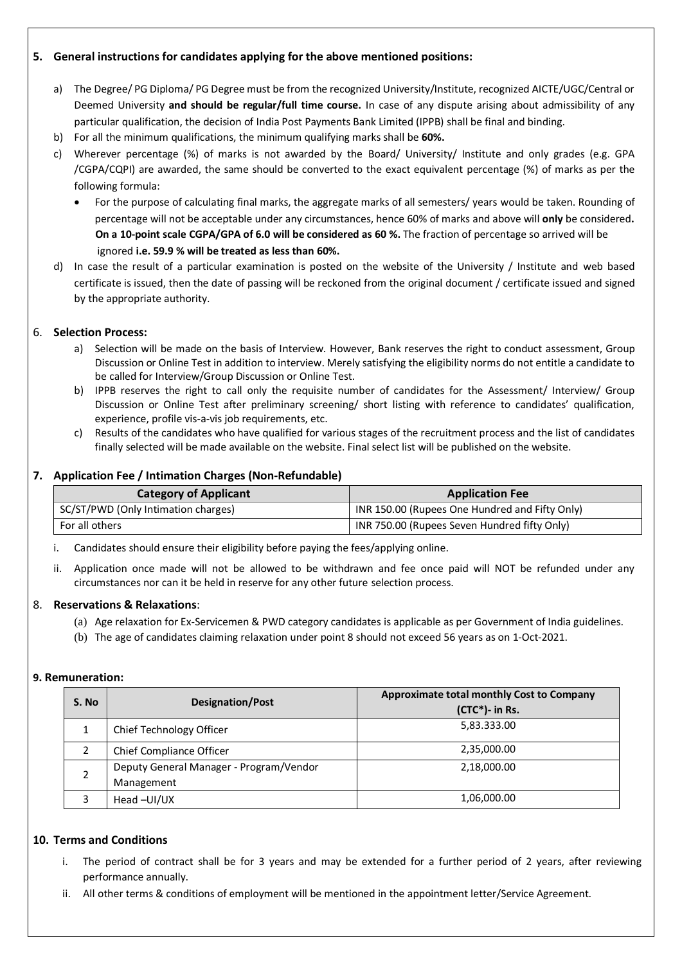# **5. General instructions for candidates applying for the above mentioned positions:**

- a) The Degree/ PG Diploma/ PG Degree must be from the recognized University/Institute, recognized AICTE/UGC/Central or Deemed University **and should be regular/full time course.** In case of any dispute arising about admissibility of any particular qualification, the decision of India Post Payments Bank Limited (IPPB) shall be final and binding.
- b) For all the minimum qualifications, the minimum qualifying marks shall be **60%.**
- c) Wherever percentage (%) of marks is not awarded by the Board/ University/ Institute and only grades (e.g. GPA /CGPA/CQPI) are awarded, the same should be converted to the exact equivalent percentage (%) of marks as per the following formula:
	- For the purpose of calculating final marks, the aggregate marks of all semesters/ years would be taken. Rounding of percentage will not be acceptable under any circumstances, hence 60% of marks and above will **only** be considered**. On a 10-point scale CGPA/GPA of 6.0 will be considered as 60 %.** The fraction of percentage so arrived will be ignored **i.e. 59.9 % will be treated as less than 60%.**
- d) In case the result of a particular examination is posted on the website of the University / Institute and web based certificate is issued, then the date of passing will be reckoned from the original document / certificate issued and signed by the appropriate authority.

#### 6. **Selection Process:**

- a) Selection will be made on the basis of Interview. However, Bank reserves the right to conduct assessment, Group Discussion or Online Test in addition to interview. Merely satisfying the eligibility norms do not entitle a candidate to be called for Interview/Group Discussion or Online Test.
- b) IPPB reserves the right to call only the requisite number of candidates for the Assessment/ Interview/ Group Discussion or Online Test after preliminary screening/ short listing with reference to candidates' qualification, experience, profile vis-a-vis job requirements, etc.
- c) Results of the candidates who have qualified for various stages of the recruitment process and the list of candidates finally selected will be made available on the website. Final select list will be published on the website.

#### **7. Application Fee / Intimation Charges (Non-Refundable)**

| <b>Category of Applicant</b>        | <b>Application Fee</b>                         |
|-------------------------------------|------------------------------------------------|
| SC/ST/PWD (Only Intimation charges) | INR 150.00 (Rupees One Hundred and Fifty Only) |
| For all others                      | INR 750.00 (Rupees Seven Hundred fifty Only)   |

- i. Candidates should ensure their eligibility before paying the fees/applying online.
- ii. Application once made will not be allowed to be withdrawn and fee once paid will NOT be refunded under any circumstances nor can it be held in reserve for any other future selection process.

#### 8. **Reservations & Relaxations**:

- (a) Age relaxation for Ex-Servicemen & PWD category candidates is applicable as per Government of India guidelines.
- (b) The age of candidates claiming relaxation under point 8 should not exceed 56 years as on 1-Oct-2021.

#### **9. Remuneration:**

| S. No | <b>Designation/Post</b>                 | Approximate total monthly Cost to Company<br>$(CTC*)$ - in Rs. |
|-------|-----------------------------------------|----------------------------------------------------------------|
|       | Chief Technology Officer                | 5,83.333.00                                                    |
|       | Chief Compliance Officer                | 2,35,000.00                                                    |
|       | Deputy General Manager - Program/Vendor | 2,18,000.00                                                    |
|       | Management                              |                                                                |
|       | Head-UI/UX                              | 1,06,000.00                                                    |

## **10. Terms and Conditions**

- i. The period of contract shall be for 3 years and may be extended for a further period of 2 years, after reviewing performance annually.
- ii. All other terms & conditions of employment will be mentioned in the appointment letter/Service Agreement.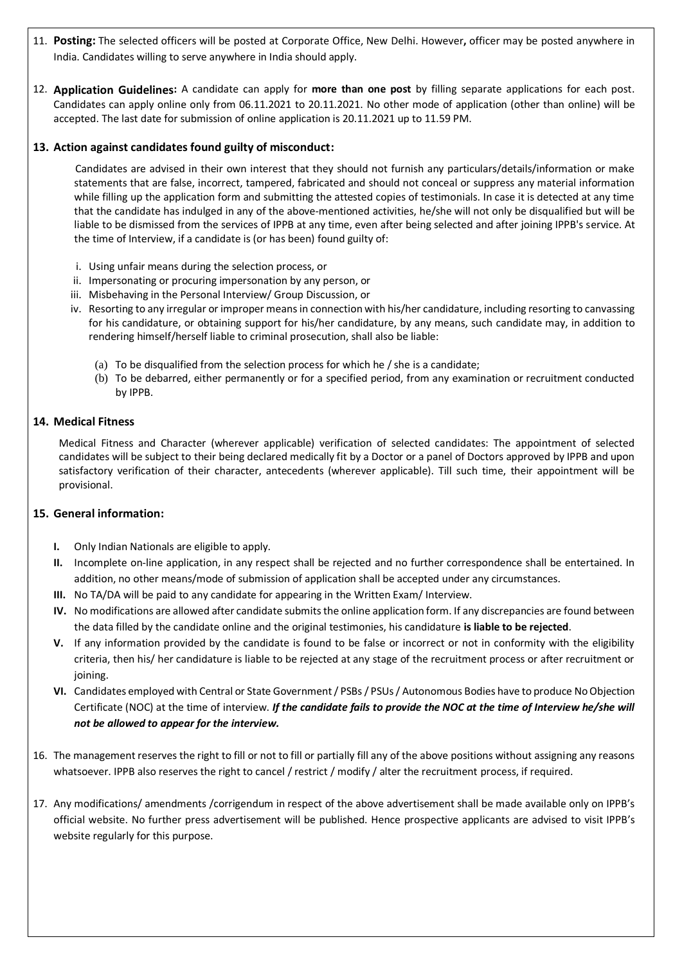- 11. **Posting:** The selected officers will be posted at Corporate Office, New Delhi. However**,** officer may be posted anywhere in India. Candidates willing to serve anywhere in India should apply.
- 12. **Application Guidelines:** A candidate can apply for **more than one post** by filling separate applications for each post. Candidates can apply online only from 06.11.2021 to 20.11.2021. No other mode of application (other than online) will be accepted. The last date for submission of online application is 20.11.2021 up to 11.59 PM.

## **13. Action against candidates found guilty of misconduct:**

Candidates are advised in their own interest that they should not furnish any particulars/details/information or make statements that are false, incorrect, tampered, fabricated and should not conceal or suppress any material information while filling up the application form and submitting the attested copies of testimonials. In case it is detected at any time that the candidate has indulged in any of the above-mentioned activities, he/she will not only be disqualified but will be liable to be dismissed from the services of IPPB at any time, even after being selected and after joining IPPB's service. At the time of Interview, if a candidate is (or has been) found guilty of:

- i. Using unfair means during the selection process, or
- ii. Impersonating or procuring impersonation by any person, or
- iii. Misbehaving in the Personal Interview/ Group Discussion, or
- iv. Resorting to any irregular or improper means in connection with his/her candidature, including resorting to canvassing for his candidature, or obtaining support for his/her candidature, by any means, such candidate may, in addition to rendering himself/herself liable to criminal prosecution, shall also be liable:
	- (a) To be disqualified from the selection process for which he / she is a candidate;
	- (b) To be debarred, either permanently or for a specified period, from any examination or recruitment conducted by IPPB.

#### **14. Medical Fitness**

Medical Fitness and Character (wherever applicable) verification of selected candidates: The appointment of selected candidates will be subject to their being declared medically fit by a Doctor or a panel of Doctors approved by IPPB and upon satisfactory verification of their character, antecedents (wherever applicable). Till such time, their appointment will be provisional.

## **15. General information:**

- **I.** Only Indian Nationals are eligible to apply.
- **II.** Incomplete on-line application, in any respect shall be rejected and no further correspondence shall be entertained. In addition, no other means/mode of submission of application shall be accepted under any circumstances.
- **III.** No TA/DA will be paid to any candidate for appearing in the Written Exam/ Interview.
- **IV.** No modifications are allowed after candidate submits the online application form. If any discrepancies are found between the data filled by the candidate online and the original testimonies, his candidature **is liable to be rejected**.
- **V.** If any information provided by the candidate is found to be false or incorrect or not in conformity with the eligibility criteria, then his/ her candidature is liable to be rejected at any stage of the recruitment process or after recruitment or joining.
- **VI.** Candidates employed with Central or State Government / PSBs/ PSUs / Autonomous Bodies have to produce No Objection Certificate (NOC) at the time of interview. *If the candidate fails to provide the NOC at the time of Interview he/she will not be allowed to appear for the interview.*
- 16. The management reserves the right to fill or not to fill or partially fill any of the above positions without assigning any reasons whatsoever. IPPB also reserves the right to cancel / restrict / modify / alter the recruitment process, if required.
- 17. Any modifications/ amendments /corrigendum in respect of the above advertisement shall be made available only on IPPB's official website. No further press advertisement will be published. Hence prospective applicants are advised to visit IPPB's website regularly for this purpose.